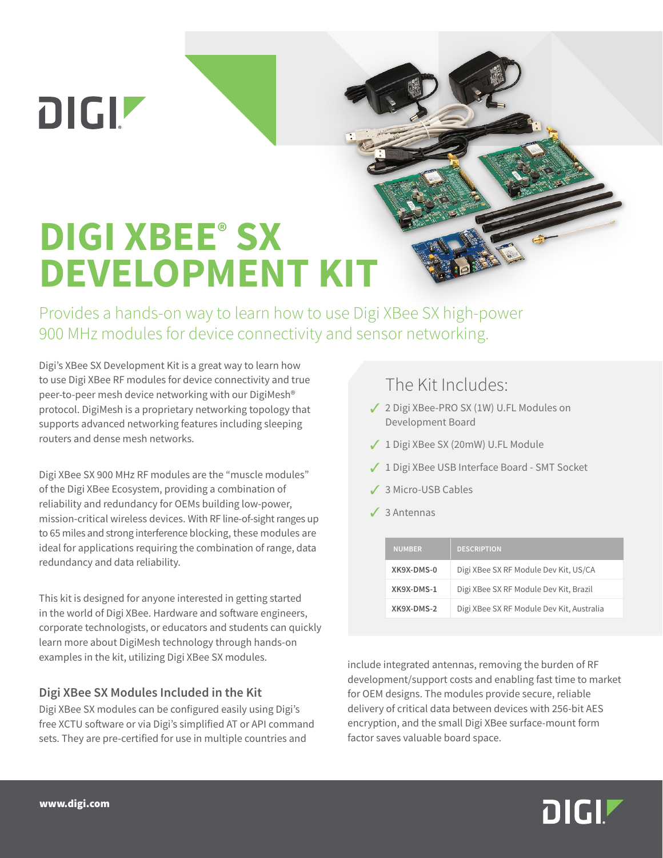**DIGIZ** 

# **DIGI XBEE® SX DEVELOPMENT KIT**

Provides a hands-on way to learn how to use Digi XBee SX high-power 900 MHz modules for device connectivity and sensor networking.

Digi's XBee SX Development Kit is a great way to learn how to use Digi XBee RF modules for device connectivity and true peer-to-peer mesh device networking with our DigiMesh® protocol. DigiMesh is a proprietary networking topology that supports advanced networking features including sleeping routers and dense mesh networks.

Digi XBee SX 900 MHz RF modules are the "muscle modules" of the Digi XBee Ecosystem, providing a combination of reliability and redundancy for OEMs building low-power, mission-critical wireless devices. With RF line-of-sight ranges up to 65 miles and strong interference blocking, these modules are ideal for applications requiring the combination of range, data redundancy and data reliability.

This kit is designed for anyone interested in getting started in the world of Digi XBee. Hardware and software engineers, corporate technologists, or educators and students can quickly learn more about DigiMesh technology through hands-on examples in the kit, utilizing Digi XBee SX modules.

### **Digi XBee SX Modules Included in the Kit**

Digi XBee SX modules can be configured easily using Digi's free XCTU software or via Digi's simplified AT or API command sets. They are pre-certified for use in multiple countries and

### The Kit Includes:

- ◆ 2 Digi XBee-PRO SX (1W) U.FL Modules on Development Board
- ◆ 1 Digi XBee SX (20mW) U.FL Module
- ◆ 1 Digi XBee USB Interface Board SMT Socket
- 3 3 Micro-USB Cables
- $<sub>3</sub>$  3 Antennas</sub>

| <b>NUMBER</b> | <b>DESCRIPTION</b>                        |
|---------------|-------------------------------------------|
| XK9X-DMS-0    | Digi XBee SX RF Module Dev Kit, US/CA     |
| XK9X-DMS-1    | Digi XBee SX RF Module Dev Kit, Brazil    |
| XK9X-DMS-2    | Digi XBee SX RF Module Dev Kit, Australia |

include integrated antennas, removing the burden of RF development/support costs and enabling fast time to market for OEM designs. The modules provide secure, reliable delivery of critical data between devices with 256-bit AES encryption, and the small Digi XBee surface-mount form factor saves valuable board space.